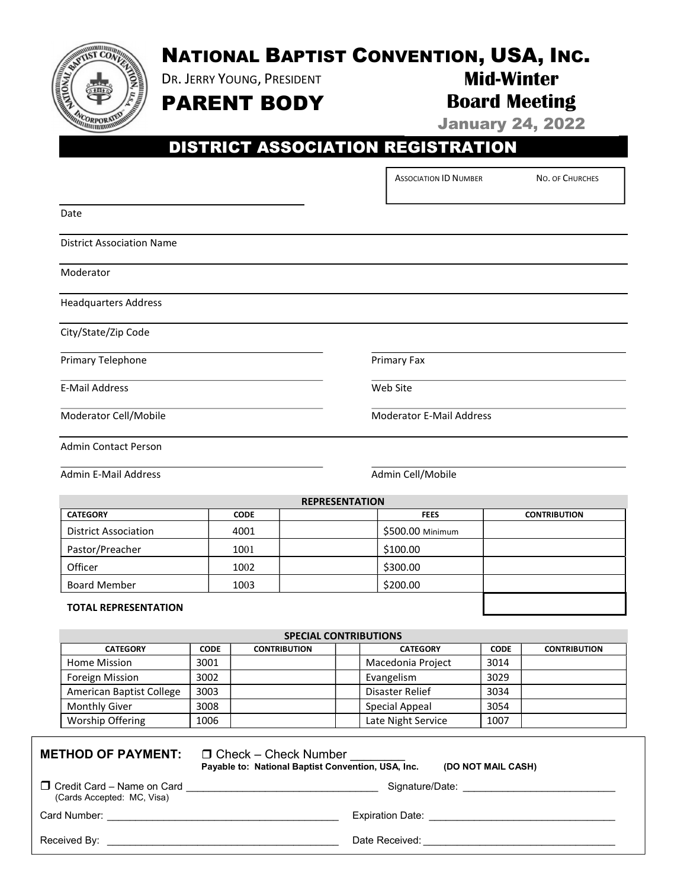

DR. JERRY YOUNG, PRESIDENT

# Mid-Winter Board Meeting

PARENT BODY

January 24, 2022

# DISTRICT ASSOCIATION REGISTRATION

ASSOCIATION ID NUMBER NO. OF CHURCHES

| Date                             |                                 |  |  |  |  |
|----------------------------------|---------------------------------|--|--|--|--|
| <b>District Association Name</b> |                                 |  |  |  |  |
| Moderator                        |                                 |  |  |  |  |
| <b>Headquarters Address</b>      |                                 |  |  |  |  |
| City/State/Zip Code              |                                 |  |  |  |  |
| Primary Telephone                | Primary Fax                     |  |  |  |  |
| <b>E-Mail Address</b>            | Web Site                        |  |  |  |  |
| Moderator Cell/Mobile            | <b>Moderator E-Mail Address</b> |  |  |  |  |
| <b>Admin Contact Person</b>      |                                 |  |  |  |  |
| <b>Admin E-Mail Address</b>      | Admin Cell/Mobile               |  |  |  |  |
| <b>REPRESENTATION</b>            |                                 |  |  |  |  |

| <b>KEPKESENTATION</b>       |             |  |                  |                     |  |
|-----------------------------|-------------|--|------------------|---------------------|--|
| <b>CATEGORY</b>             | <b>CODE</b> |  | <b>FEES</b>      | <b>CONTRIBUTION</b> |  |
| <b>District Association</b> | 4001        |  | \$500.00 Minimum |                     |  |
| Pastor/Preacher             | 1001        |  | \$100.00         |                     |  |
| Officer                     | 1002        |  | \$300.00         |                     |  |
| <b>Board Member</b>         | 1003        |  | \$200.00         |                     |  |
|                             |             |  |                  |                     |  |

#### TOTAL REPRESENTATION

| <b>SPECIAL CONTRIBUTIONS</b> |             |                     |                    |             |                     |  |
|------------------------------|-------------|---------------------|--------------------|-------------|---------------------|--|
| <b>CATEGORY</b>              | <b>CODE</b> | <b>CONTRIBUTION</b> | <b>CATEGORY</b>    | <b>CODE</b> | <b>CONTRIBUTION</b> |  |
| Home Mission                 | 3001        |                     | Macedonia Project  | 3014        |                     |  |
| Foreign Mission              | 3002        |                     | Evangelism         | 3029        |                     |  |
| American Baptist College     | 3003        |                     | Disaster Relief    | 3034        |                     |  |
| <b>Monthly Giver</b>         | 3008        |                     | Special Appeal     | 3054        |                     |  |
| Worship Offering             | 1006        |                     | Late Night Service | 1007        |                     |  |

### **METHOD OF PAYMENT:**  $\Box$  Check – Check Number

Payable to: National Baptist Convention, USA, Inc. (DO NOT MAIL CASH)

 Credit Card – Name on Card \_\_\_\_\_\_\_\_\_\_\_\_\_\_\_\_\_\_\_\_\_\_\_\_\_\_\_\_\_\_\_\_\_\_ Signature/Date: \_\_\_\_\_\_\_\_\_\_\_\_\_\_\_\_\_\_\_\_\_\_\_\_\_\_\_ (Cards Accepted: MC, Visa)

Card Number: \_\_\_\_\_\_\_\_\_\_\_\_\_\_\_\_\_\_\_\_\_\_\_\_\_\_\_\_\_\_\_\_\_\_\_\_\_\_\_\_\_ Expiration Date: \_\_\_\_\_\_\_\_\_\_\_\_\_\_\_\_\_\_\_\_\_\_\_\_\_\_\_\_\_\_\_\_\_

Received By: \_\_\_\_\_\_\_\_\_\_\_\_\_\_\_\_\_\_\_\_\_\_\_\_\_\_\_\_\_\_\_\_\_\_\_\_\_\_\_\_\_ Date Received: \_\_\_\_\_\_\_\_\_\_\_\_\_\_\_\_\_\_\_\_\_\_\_\_\_\_\_\_\_\_\_\_\_\_